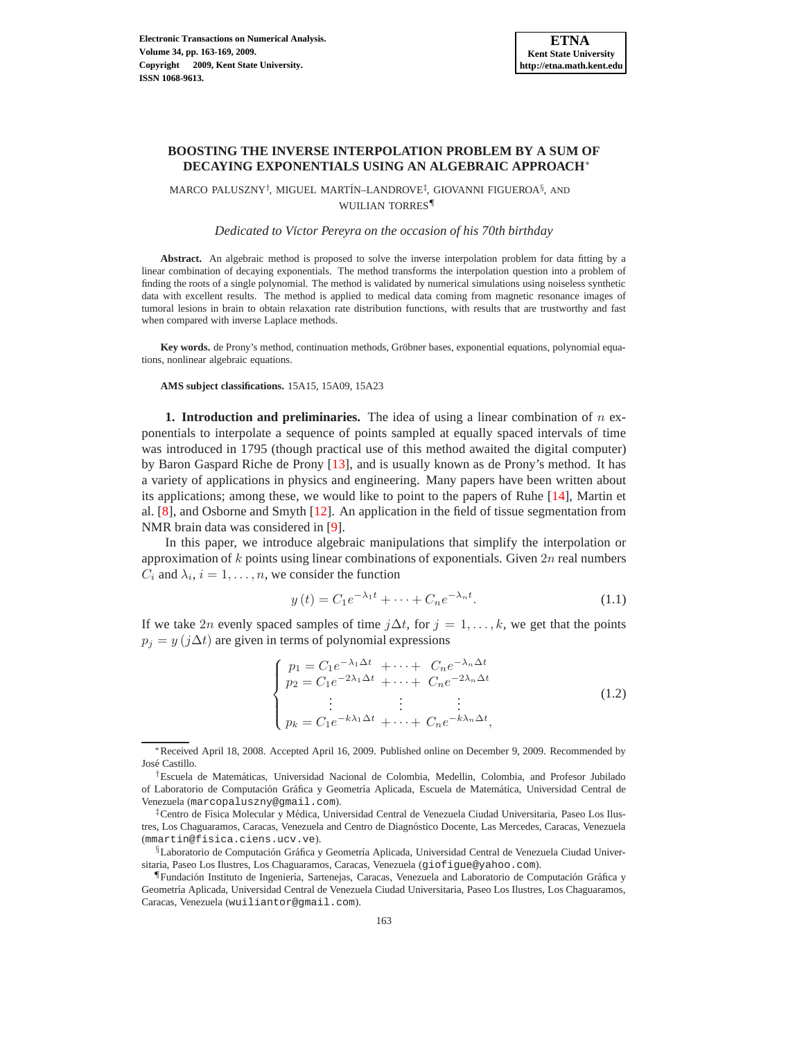# **BOOSTING THE INVERSE INTERPOLATION PROBLEM BY A SUM OF DECAYING EXPONENTIALS USING AN ALGEBRAIC APPROACH**<sup>∗</sup>

 $\text{MACO}$ PALUSZNY<sup>†</sup>, MIGUEL MARTÍN–LANDROVE<sup>‡</sup>, GIOVANNI FIGUEROA $\text{\^{8},}$  and WUILIAN TORRES¶

*Dedicated to V´ıctor Pereyra on the occasion of his 70th birthday*

**Abstract.** An algebraic method is proposed to solve the inverse interpolation problem for data fitting by a linear combination of decaying exponentials. The method transforms the interpolation question into a problem of finding the roots of a single polynomial. The method is validated by numerical simulations using noiseless synthetic data with excellent results. The method is applied to medical data coming from magnetic resonance images of tumoral lesions in brain to obtain relaxation rate distribution functions, with results that are trustworthy and fast when compared with inverse Laplace methods.

Key words. de Prony's method, continuation methods, Gröbner bases, exponential equations, polynomial equations, nonlinear algebraic equations.

**AMS subject classifications.** 15A15, 15A09, 15A23

**1. Introduction and preliminaries.** The idea of using a linear combination of n exponentials to interpolate a sequence of points sampled at equally spaced intervals of time was introduced in 1795 (though practical use of this method awaited the digital computer) by Baron Gaspard Riche de Prony [\[13\]](#page-6-0), and is usually known as de Prony's method. It has a variety of applications in physics and engineering. Many papers have been written about its applications; among these, we would like to point to the papers of Ruhe [\[14\]](#page-6-1), Martin et al. [\[8\]](#page-6-2), and Osborne and Smyth [\[12](#page-6-3)]. An application in the field of tissue segmentation from NMR brain data was considered in [\[9](#page-6-4)].

In this paper, we introduce algebraic manipulations that simplify the interpolation or approximation of  $k$  points using linear combinations of exponentials. Given  $2n$  real numbers  $C_i$  and  $\lambda_i$ ,  $i = 1, \dots, n$ , we consider the function

$$
y(t) = C_1 e^{-\lambda_1 t} + \dots + C_n e^{-\lambda_n t}.
$$
 (1.1)

If we take 2n evenly spaced samples of time  $j\Delta t$ , for  $j = 1, \ldots, k$ , we get that the points  $p_j = y (j \Delta t)$  are given in terms of polynomial expressions

<span id="page-0-0"></span>
$$
\begin{cases}\n p_1 = C_1 e^{-\lambda_1 \Delta t} + \dots + C_n e^{-\lambda_n \Delta t} \\
 p_2 = C_1 e^{-2\lambda_1 \Delta t} + \dots + C_n e^{-2\lambda_n \Delta t} \\
 \vdots \\
 p_k = C_1 e^{-k\lambda_1 \Delta t} + \dots + C_n e^{-k\lambda_n \Delta t},\n\end{cases} (1.2)
$$

<sup>∗</sup>Received April 18, 2008. Accepted April 16, 2009. Published online on December 9, 2009. Recommended by José Castillo.

<sup>†</sup>Escuela de Matem´aticas, Universidad Nacional de Colombia, Medellin, Colombia, and Profesor Jubilado of Laboratorio de Computación Gráfica y Geometría Aplicada, Escuela de Matemática, Universidad Central de Venezuela (marcopaluszny@gmail.com).

<sup>&</sup>lt;sup>‡</sup>Centro de Física Molecular y Médica, Universidad Central de Venezuela Ciudad Universitaria, Paseo Los Ilustres, Los Chaguaramos, Caracas, Venezuela and Centro de Diagn´ostico Docente, Las Mercedes, Caracas, Venezuela (mmartin@fisica.ciens.ucv.ve).

<sup>§</sup>Laboratorio de Computación Gráfica y Geometría Aplicada, Universidad Central de Venezuela Ciudad Universitaria, Paseo Los Ilustres, Los Chaguaramos, Caracas, Venezuela (giofigue@yahoo.com).

<sup>&</sup>quot;Fundación Instituto de Ingeniería, Sartenejas, Caracas, Venezuela and Laboratorio de Computación Gráfica y Geometría Aplicada, Universidad Central de Venezuela Ciudad Universitaria, Paseo Los Ilustres, Los Chaguaramos, Caracas, Venezuela (wuiliantor@gmail.com).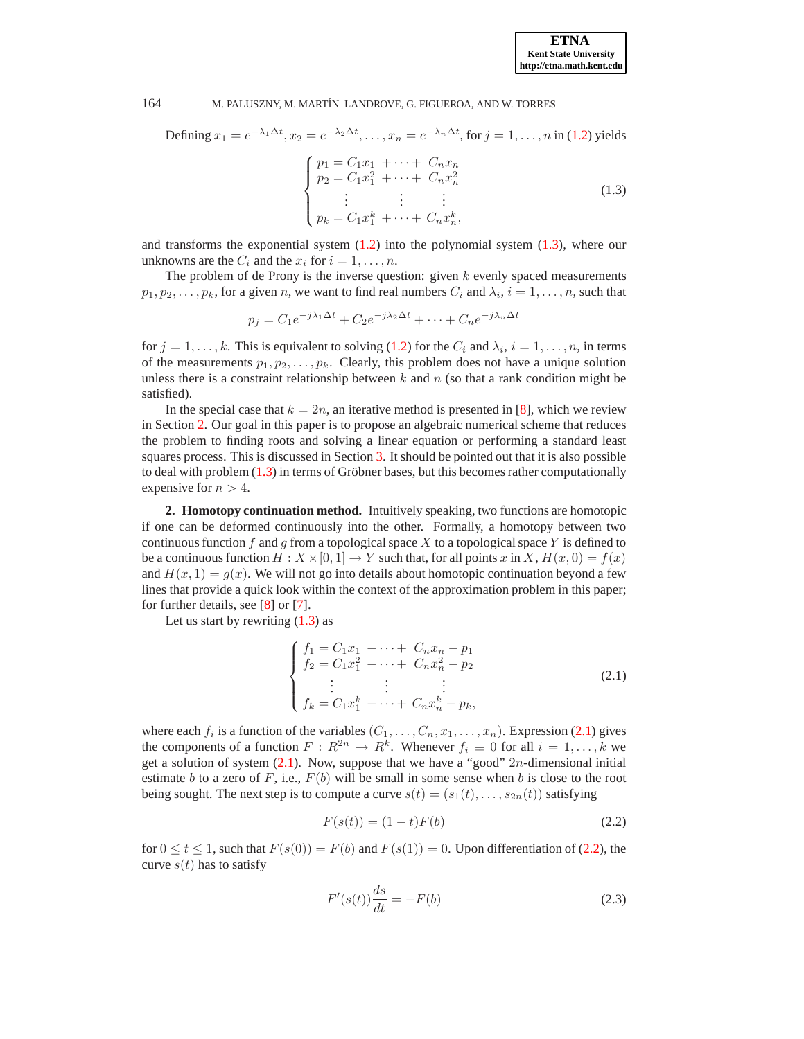### 164 M. PALUSZNY, M. MART´IN–LANDROVE, G. FIGUEROA, AND W. TORRES

Defining  $x_1 = e^{-\lambda_1 \Delta t}$ ,  $x_2 = e^{-\lambda_2 \Delta t}$ ,  $\dots$ ,  $x_n = e^{-\lambda_n \Delta t}$ , for  $j = 1, \dots, n$  in [\(1.2\)](#page-0-0) yields  $\sqrt{ }$  $\int$  $p_1 = C_1 x_1 + \cdots + C_n x_n$  $p_2 = C_1 x_1^2 + \cdots + C_n x_n^2$  $(1.3)$ 

<span id="page-1-0"></span>
$$
\begin{cases}\n\vdots & \vdots \\
p_k = C_1 x_1^k + \dots + C_n x_n^k,\n\end{cases} (1.3)
$$

and transforms the exponential system  $(1.2)$  into the polynomial system  $(1.3)$ , where our unknowns are the  $C_i$  and the  $x_i$  for  $i = 1, \ldots, n$ .

The problem of de Prony is the inverse question: given  $k$  evenly spaced measurements  $p_1, p_2, \ldots, p_k$ , for a given n, we want to find real numbers  $C_i$  and  $\lambda_i$ ,  $i = 1, \ldots, n$ , such that

$$
p_j = C_1 e^{-j\lambda_1 \Delta t} + C_2 e^{-j\lambda_2 \Delta t} + \dots + C_n e^{-j\lambda_n \Delta t}
$$

for  $j = 1, ..., k$ . This is equivalent to solving [\(1.2\)](#page-0-0) for the  $C_i$  and  $\lambda_i$ ,  $i = 1, ..., n$ , in terms of the measurements  $p_1, p_2, \ldots, p_k$ . Clearly, this problem does not have a unique solution unless there is a constraint relationship between  $k$  and  $n$  (so that a rank condition might be satisfied).

In the special case that  $k = 2n$ , an iterative method is presented in [\[8](#page-6-2)], which we review in Section [2.](#page-1-1) Our goal in this paper is to propose an algebraic numerical scheme that reduces the problem to finding roots and solving a linear equation or performing a standard least squares process. This is discussed in Section [3.](#page-2-0) It should be pointed out that it is also possible to deal with problem  $(1.3)$  in terms of Gröbner bases, but this becomes rather computationally expensive for  $n > 4$ .

<span id="page-1-1"></span>**2. Homotopy continuation method.** Intuitively speaking, two functions are homotopic if one can be deformed continuously into the other. Formally, a homotopy between two continuous function f and g from a topological space X to a topological space Y is defined to be a continuous function  $H : X \times [0, 1] \to Y$  such that, for all points x in X,  $H(x, 0) = f(x)$ and  $H(x, 1) = g(x)$ . We will not go into details about homotopic continuation beyond a few lines that provide a quick look within the context of the approximation problem in this paper; for further details, see [\[8](#page-6-2)] or [\[7](#page-6-5)].

Let us start by rewriting  $(1.3)$  as

<span id="page-1-2"></span>
$$
\begin{cases}\nf_1 = C_1 x_1 + \dots + C_n x_n - p_1 \\
f_2 = C_1 x_1^2 + \dots + C_n x_n^2 - p_2 \\
\vdots & \vdots \\
f_k = C_1 x_1^k + \dots + C_n x_n^k - p_k,\n\end{cases} \tag{2.1}
$$

where each  $f_i$  is a function of the variables  $(C_1, \ldots, C_n, x_1, \ldots, x_n)$ . Expression [\(2.1\)](#page-1-2) gives the components of a function  $F: R^{2n} \to R^k$ . Whenever  $f_i \equiv 0$  for all  $i = 1, ..., k$  we get a solution of system  $(2.1)$ . Now, suppose that we have a "good"  $2n$ -dimensional initial estimate b to a zero of F, i.e.,  $F(b)$  will be small in some sense when b is close to the root being sought. The next step is to compute a curve  $s(t) = (s_1(t), \ldots, s_{2n}(t))$  satisfying

<span id="page-1-3"></span>
$$
F(s(t)) = (1 - t)F(b)
$$
\n(2.2)

for  $0 \le t \le 1$ , such that  $F(s(0)) = F(b)$  and  $F(s(1)) = 0$ . Upon differentiation of [\(2.2\)](#page-1-3), the curve  $s(t)$  has to satisfy

$$
F'(s(t))\frac{ds}{dt} = -F(b)
$$
\n(2.3)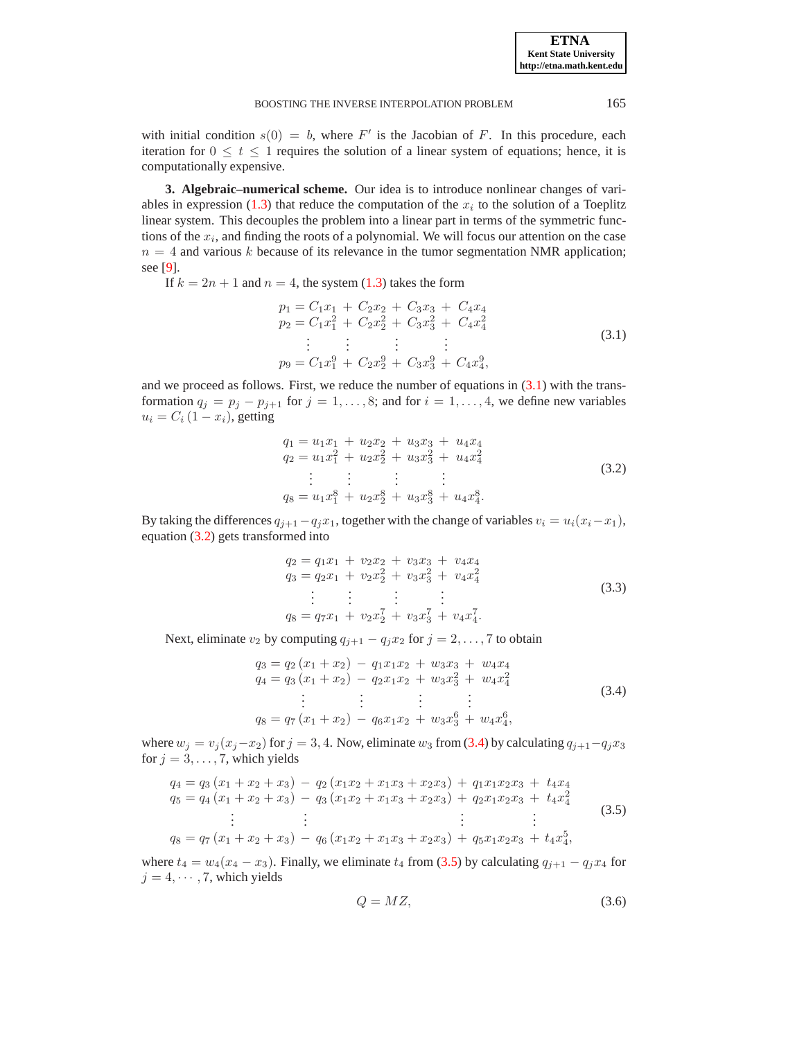with initial condition  $s(0) = b$ , where F' is the Jacobian of F. In this procedure, each iteration for  $0 \leq t \leq 1$  requires the solution of a linear system of equations; hence, it is computationally expensive.

<span id="page-2-0"></span>**3. Algebraic–numerical scheme.** Our idea is to introduce nonlinear changes of vari-ables in expression [\(1.3\)](#page-1-0) that reduce the computation of the  $x_i$  to the solution of a Toeplitz linear system. This decouples the problem into a linear part in terms of the symmetric functions of the  $x_i$ , and finding the roots of a polynomial. We will focus our attention on the case  $n = 4$  and various k because of its relevance in the tumor segmentation NMR application; see [\[9\]](#page-6-4).

If  $k = 2n + 1$  and  $n = 4$ , the system [\(1.3\)](#page-1-0) takes the form

<span id="page-2-1"></span>
$$
p_1 = C_1 x_1 + C_2 x_2 + C_3 x_3 + C_4 x_4
$$
  
\n
$$
p_2 = C_1 x_1^2 + C_2 x_2^2 + C_3 x_3^2 + C_4 x_4^2
$$
  
\n
$$
\vdots \qquad \vdots
$$
  
\n
$$
p_9 = C_1 x_1^9 + C_2 x_2^9 + C_3 x_3^9 + C_4 x_4^9,
$$
\n(3.1)

and we proceed as follows. First, we reduce the number of equations in  $(3.1)$  with the transformation  $q_j = p_j - p_{j+1}$  for  $j = 1, ..., 8$ ; and for  $i = 1, ..., 4$ , we define new variables  $u_i = C_i (1 - x_i)$ , getting

<span id="page-2-2"></span>
$$
q_1 = u_1 x_1 + u_2 x_2 + u_3 x_3 + u_4 x_4
$$
  
\n
$$
q_2 = u_1 x_1^2 + u_2 x_2^2 + u_3 x_3^2 + u_4 x_4^2
$$
  
\n
$$
\vdots \qquad \vdots
$$
  
\n
$$
q_8 = u_1 x_1^8 + u_2 x_2^8 + u_3 x_3^8 + u_4 x_4^8.
$$
\n(3.2)

By taking the differences  $q_{j+1}-q_jx_1$ , together with the change of variables  $v_i = u_i(x_i-x_1)$ , equation [\(3.2\)](#page-2-2) gets transformed into

$$
q_2 = q_1 x_1 + v_2 x_2 + v_3 x_3 + v_4 x_4
$$
  
\n
$$
q_3 = q_2 x_1 + v_2 x_2^2 + v_3 x_3^2 + v_4 x_4^2
$$
  
\n
$$
\vdots \qquad \vdots \qquad \vdots
$$
  
\n
$$
q_8 = q_7 x_1 + v_2 x_2^7 + v_3 x_3^7 + v_4 x_4^7.
$$
\n(3.3)

Next, eliminate  $v_2$  by computing  $q_{i+1} - q_i x_2$  for  $j = 2, ..., 7$  to obtain

<span id="page-2-3"></span>
$$
q_3 = q_2 (x_1 + x_2) - q_1 x_1 x_2 + w_3 x_3 + w_4 x_4
$$
  
\n
$$
q_4 = q_3 (x_1 + x_2) - q_2 x_1 x_2 + w_3 x_3^2 + w_4 x_4^2
$$
  
\n
$$
\vdots \qquad \vdots
$$
  
\n
$$
q_8 = q_7 (x_1 + x_2) - q_6 x_1 x_2 + w_3 x_3^6 + w_4 x_4^6,
$$
\n(3.4)

where  $w_j = v_j (x_j - x_2)$  for  $j = 3, 4$ . Now, eliminate  $w_3$  from [\(3.4\)](#page-2-3) by calculating  $q_{j+1} - q_j x_3$ for  $j = 3, \ldots, 7$ , which yields

<span id="page-2-4"></span>
$$
q_4 = q_3 (x_1 + x_2 + x_3) - q_2 (x_1 x_2 + x_1 x_3 + x_2 x_3) + q_1 x_1 x_2 x_3 + t_4 x_4
$$
  
\n
$$
q_5 = q_4 (x_1 + x_2 + x_3) - q_3 (x_1 x_2 + x_1 x_3 + x_2 x_3) + q_2 x_1 x_2 x_3 + t_4 x_4^2
$$
  
\n
$$
\vdots \qquad \vdots
$$
  
\n
$$
q_8 = q_7 (x_1 + x_2 + x_3) - q_6 (x_1 x_2 + x_1 x_3 + x_2 x_3) + q_5 x_1 x_2 x_3 + t_4 x_4^5,
$$
\n(3.5)

where  $t_4 = w_4(x_4 - x_3)$ . Finally, we eliminate  $t_4$  from [\(3.5\)](#page-2-4) by calculating  $q_{j+1} - q_j x_4$  for  $j = 4, \dots, 7$ , which yields

$$
Q = MZ,\tag{3.6}
$$

**ETNA Kent State University http://etna.math.kent.edu**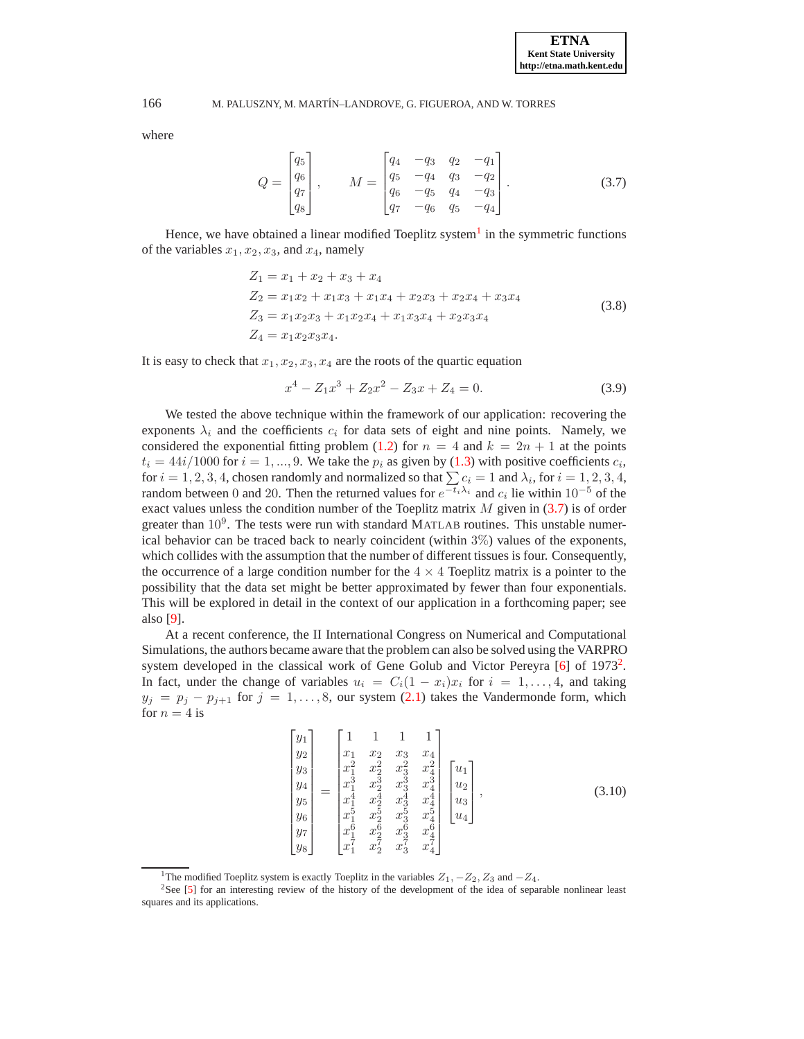166 M. PALUSZNY, M. MART´IN–LANDROVE, G. FIGUEROA, AND W. TORRES

where

<span id="page-3-1"></span>
$$
Q = \begin{bmatrix} q_5 \\ q_6 \\ q_7 \\ q_8 \end{bmatrix}, \qquad M = \begin{bmatrix} q_4 & -q_3 & q_2 & -q_1 \\ q_5 & -q_4 & q_3 & -q_2 \\ q_6 & -q_5 & q_4 & -q_3 \\ q_7 & -q_6 & q_5 & -q_4 \end{bmatrix}.
$$
 (3.7)

Hence, we have obtained a linear modified Toeplitz system<sup>[1](#page-3-0)</sup> in the symmetric functions of the variables  $x_1, x_2, x_3$ , and  $x_4$ , namely

<span id="page-3-3"></span>
$$
Z_1 = x_1 + x_2 + x_3 + x_4
$$
  
\n
$$
Z_2 = x_1 x_2 + x_1 x_3 + x_1 x_4 + x_2 x_3 + x_2 x_4 + x_3 x_4
$$
  
\n
$$
Z_3 = x_1 x_2 x_3 + x_1 x_2 x_4 + x_1 x_3 x_4 + x_2 x_3 x_4
$$
  
\n
$$
Z_4 = x_1 x_2 x_3 x_4.
$$
\n(3.8)

It is easy to check that  $x_1, x_2, x_3, x_4$  are the roots of the quartic equation

$$
x^4 - Z_1 x^3 + Z_2 x^2 - Z_3 x + Z_4 = 0.
$$
\n(3.9)

We tested the above technique within the framework of our application: recovering the exponents  $\lambda_i$  and the coefficients  $c_i$  for data sets of eight and nine points. Namely, we considered the exponential fitting problem [\(1.2\)](#page-0-0) for  $n = 4$  and  $k = 2n + 1$  at the points  $t_i = 44i/1000$  for  $i = 1, ..., 9$ . We take the  $p_i$  as given by [\(1.3\)](#page-1-0) with positive coefficients  $c_i$ , for  $i = 1, 2, 3, 4$ , chosen randomly and normalized so that  $\sum c_i = 1$  and  $\lambda_i$ , for  $i = 1, 2, 3, 4$ , random between 0 and 20. Then the returned values for  $e^{-t_i \lambda_i}$  and  $c_i$  lie within 10<sup>-5</sup> of the exact values unless the condition number of the Toeplitz matrix  $M$  given in [\(3.7\)](#page-3-1) is of order greater than  $10^9$ . The tests were run with standard MATLAB routines. This unstable numerical behavior can be traced back to nearly coincident (within 3%) values of the exponents, which collides with the assumption that the number of different tissues is four. Consequently, the occurrence of a large condition number for the  $4 \times 4$  Toeplitz matrix is a pointer to the possibility that the data set might be better approximated by fewer than four exponentials. This will be explored in detail in the context of our application in a forthcoming paper; see also [\[9\]](#page-6-4).

At a recent conference, the II International Congress on Numerical and Computational Simulations, the authors became aware that the problem can also be solved using the VARPRO system developed in the classical work of Gene Golub and Victor Pereyra  $[6]$  of 1973<sup>[2](#page-3-2)</sup>. In fact, under the change of variables  $u_i = C_i(1-x_i)x_i$  for  $i = 1, \ldots, 4$ , and taking  $y_j = p_j - p_{j+1}$  for  $j = 1, ..., 8$ , our system [\(2.1\)](#page-1-2) takes the Vandermonde form, which for  $n = 4$  is

$$
\begin{bmatrix} y_1 \\ y_2 \\ y_3 \\ y_4 \\ y_5 \\ y_6 \\ y_7 \\ y_8 \end{bmatrix} = \begin{bmatrix} 1 & 1 & 1 & 1 \\ x_1 & x_2 & x_3 & x_4 \\ x_1^2 & x_2^2 & x_3^2 & x_4^2 \\ x_1^2 & x_2^2 & x_3^3 & x_4^3 \\ x_1^4 & x_2^4 & x_3^4 & x_4^4 \\ x_1^4 & x_2^4 & x_3^4 & x_4^4 \\ x_1^5 & x_2^5 & x_3^5 & x_4^5 \\ x_1^6 & x_2^6 & x_3^6 & x_4^6 \\ x_1^7 & x_2^7 & x_3^7 & x_4^7 \end{bmatrix} \begin{bmatrix} u_1 \\ u_2 \\ u_3 \\ u_4 \end{bmatrix},
$$
\n(3.10)

<span id="page-3-2"></span><span id="page-3-0"></span><sup>&</sup>lt;sup>1</sup>The modified Toeplitz system is exactly Toeplitz in the variables  $Z_1, -Z_2, Z_3$  and  $-Z_4$ .

<sup>&</sup>lt;sup>2</sup>See [\[5](#page-6-7)] for an interesting review of the history of the development of the idea of separable nonlinear least squares and its applications.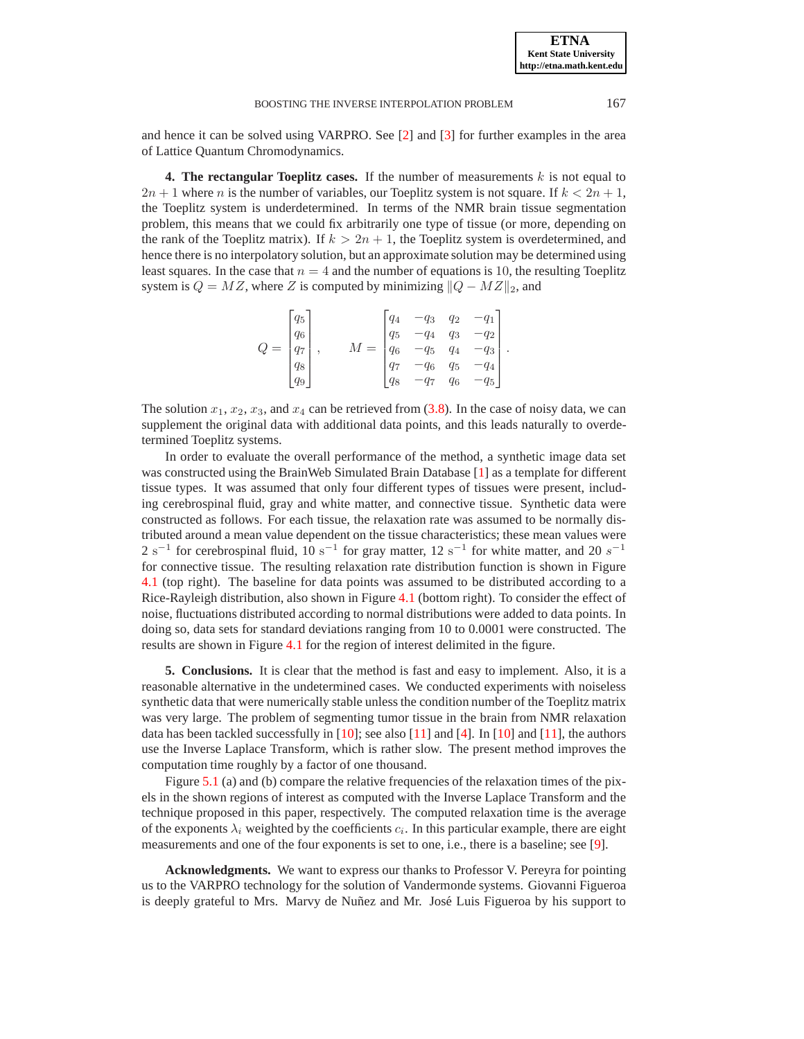#### BOOSTING THE INVERSE INTERPOLATION PROBLEM 167

and hence it can be solved using VARPRO. See [\[2\]](#page-6-8) and [\[3\]](#page-6-9) for further examples in the area of Lattice Quantum Chromodynamics.

**4. The rectangular Toeplitz cases.** If the number of measurements  $k$  is not equal to  $2n + 1$  where n is the number of variables, our Toeplitz system is not square. If  $k < 2n + 1$ , the Toeplitz system is underdetermined. In terms of the NMR brain tissue segmentation problem, this means that we could fix arbitrarily one type of tissue (or more, depending on the rank of the Toeplitz matrix). If  $k > 2n + 1$ , the Toeplitz system is overdetermined, and hence there is no interpolatory solution, but an approximate solution may be determined using least squares. In the case that  $n = 4$  and the number of equations is 10, the resulting Toeplitz system is  $Q = MZ$ , where Z is computed by minimizing  $||Q - MZ||_2$ , and

| $Q =$ |  | $\begin{bmatrix} q_5\\ q_6\\ q_7\\ q_8\\ q_9 \end{bmatrix},$ | $M = \begin{bmatrix} q_4 & -q_3 & q_2 & -q_1 \ q_5 & -q_4 & q_3 & -c \ q_6 & -q_5 & q_4 & \ q_7 & -q_6 & q_5 & \ q_8 & -q_7 & & \end{bmatrix}$ |  |          |  |
|-------|--|--------------------------------------------------------------|------------------------------------------------------------------------------------------------------------------------------------------------|--|----------|--|
|       |  |                                                              |                                                                                                                                                |  |          |  |
|       |  |                                                              |                                                                                                                                                |  |          |  |
|       |  |                                                              |                                                                                                                                                |  | $-q_{5}$ |  |

The solution  $x_1, x_2, x_3$ , and  $x_4$  can be retrieved from [\(3.8\)](#page-3-3). In the case of noisy data, we can supplement the original data with additional data points, and this leads naturally to overdetermined Toeplitz systems.

In order to evaluate the overall performance of the method, a synthetic image data set was constructed using the BrainWeb Simulated Brain Database [\[1](#page-5-0)] as a template for different tissue types. It was assumed that only four different types of tissues were present, including cerebrospinal fluid, gray and white matter, and connective tissue. Synthetic data were constructed as follows. For each tissue, the relaxation rate was assumed to be normally distributed around a mean value dependent on the tissue characteristics; these mean values were  $2 s<sup>-1</sup>$  for cerebrospinal fluid,  $10 s<sup>-1</sup>$  for gray matter,  $12 s<sup>-1</sup>$  for white matter, and  $20 s<sup>-1</sup>$ for connective tissue. The resulting relaxation rate distribution function is shown in Figure [4.1](#page-5-1) (top right). The baseline for data points was assumed to be distributed according to a Rice-Rayleigh distribution, also shown in Figure [4.1](#page-5-1) (bottom right). To consider the effect of noise, fluctuations distributed according to normal distributions were added to data points. In doing so, data sets for standard deviations ranging from 10 to 0.0001 were constructed. The results are shown in Figure [4.1](#page-5-1) for the region of interest delimited in the figure.

**5. Conclusions.** It is clear that the method is fast and easy to implement. Also, it is a reasonable alternative in the undetermined cases. We conducted experiments with noiseless synthetic data that were numerically stable unless the condition number of the Toeplitz matrix was very large. The problem of segmenting tumor tissue in the brain from NMR relaxation data has been tackled successfully in [\[10\]](#page-6-10); see also [\[11](#page-6-11)] and [\[4\]](#page-6-12). In [\[10\]](#page-6-10) and [\[11\]](#page-6-11), the authors use the Inverse Laplace Transform, which is rather slow. The present method improves the computation time roughly by a factor of one thousand.

Figure [5.1](#page-5-2) (a) and (b) compare the relative frequencies of the relaxation times of the pixels in the shown regions of interest as computed with the Inverse Laplace Transform and the technique proposed in this paper, respectively. The computed relaxation time is the average of the exponents  $\lambda_i$  weighted by the coefficients  $c_i$ . In this particular example, there are eight measurements and one of the four exponents is set to one, i.e., there is a baseline; see [\[9\]](#page-6-4).

**Acknowledgments.** We want to express our thanks to Professor V. Pereyra for pointing us to the VARPRO technology for the solution of Vandermonde systems. Giovanni Figueroa is deeply grateful to Mrs. Marvy de Nuñez and Mr. José Luis Figueroa by his support to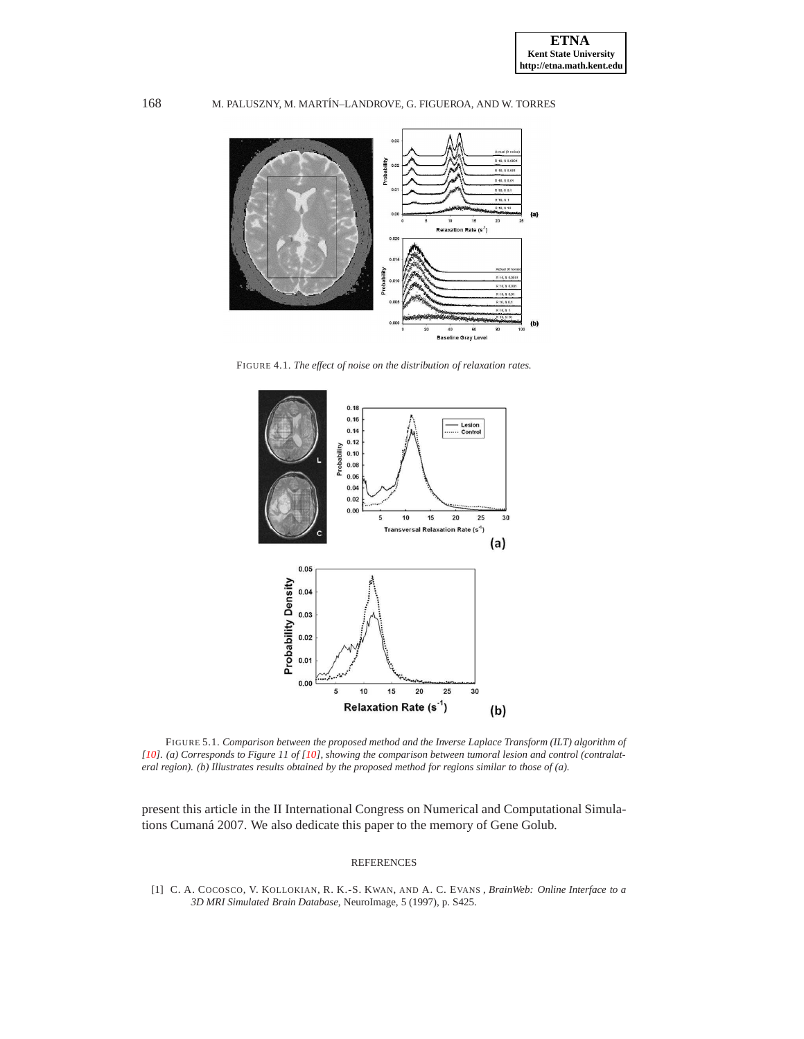## 168 M. PALUSZNY, M. MART´IN–LANDROVE, G. FIGUEROA, AND W. TORRES



FIGURE 4.1. *The effect of noise on the distribution of relaxation rates.*

<span id="page-5-1"></span>

<span id="page-5-2"></span>FIGURE 5.1. *Comparison between the proposed method and the Inverse Laplace Transform (ILT) algorithm of [\[10](#page-6-10)]. (a) Corresponds to Figure 11 of [\[10](#page-6-10)], showing the comparison between tumoral lesion and control (contralateral region). (b) Illustrates results obtained by the proposed method for regions similar to those of (a).*

present this article in the II International Congress on Numerical and Computational Simulations Cumaná 2007. We also dedicate this paper to the memory of Gene Golub.

### REFERENCES

<span id="page-5-0"></span>[1] C. A. COCOSCO, V. KOLLOKIAN, R. K.-S. KWAN, AND A. C. EVANS , *BrainWeb: Online Interface to a 3D MRI Simulated Brain Database*, NeuroImage, 5 (1997), p. S425.